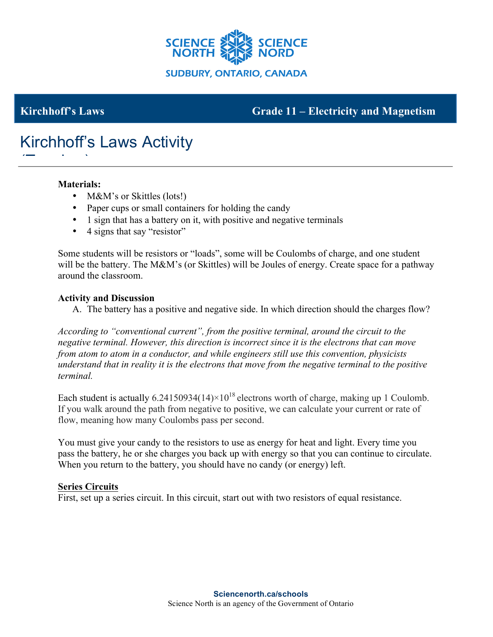

# **Kirchhoff's Laws** Grade 11 – **Electricity and Magnetism**

# Kirchhoff's Laws Activity  $\frac{1}{\sqrt{1-\frac{1}{2}}}\left(1-\frac{1}{2}\right)$

## **Materials:**

- M&M's or Skittles (lots!)
- Paper cups or small containers for holding the candy
- 1 sign that has a battery on it, with positive and negative terminals
- 4 signs that say "resistor"

Some students will be resistors or "loads", some will be Coulombs of charge, and one student will be the battery. The M&M's (or Skittles) will be Joules of energy. Create space for a pathway around the classroom.

#### **Activity and Discussion**

A. The battery has a positive and negative side. In which direction should the charges flow?

*According to "conventional current", from the positive terminal, around the circuit to the negative terminal. However, this direction is incorrect since it is the electrons that can move from atom to atom in a conductor, and while engineers still use this convention, physicists understand that in reality it is the electrons that move from the negative terminal to the positive terminal.* 

Each student is actually  $6.24150934(14)\times10^{18}$  electrons worth of charge, making up 1 Coulomb. If you walk around the path from negative to positive, we can calculate your current or rate of flow, meaning how many Coulombs pass per second.

You must give your candy to the resistors to use as energy for heat and light. Every time you pass the battery, he or she charges you back up with energy so that you can continue to circulate. When you return to the battery, you should have no candy (or energy) left.

#### **Series Circuits**

First, set up a series circuit. In this circuit, start out with two resistors of equal resistance.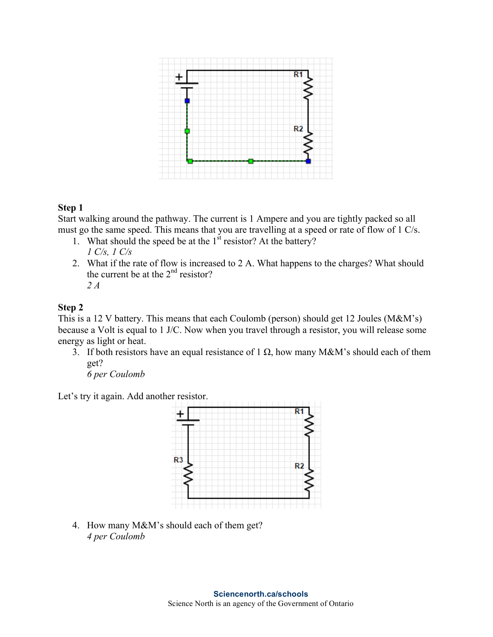

## **Step 1**

Start walking around the pathway. The current is 1 Ampere and you are tightly packed so all must go the same speed. This means that you are travelling at a speed or rate of flow of 1 C/s.

- 1. What should the speed be at the  $1<sup>st</sup>$  resistor? At the battery? *1 C/s, 1 C/s*
- 2. What if the rate of flow is increased to 2 A. What happens to the charges? What should the current be at the  $2<sup>nd</sup>$  resistor? *2 A*

## **Step 2**

This is a 12 V battery. This means that each Coulomb (person) should get 12 Joules (M&M's) because a Volt is equal to 1 J/C. Now when you travel through a resistor, you will release some energy as light or heat.

3. If both resistors have an equal resistance of 1  $\Omega$ , how many M&M's should each of them get?

*6 per Coulomb*

Let's try it again. Add another resistor.



4. How many M&M's should each of them get? *4 per Coulomb*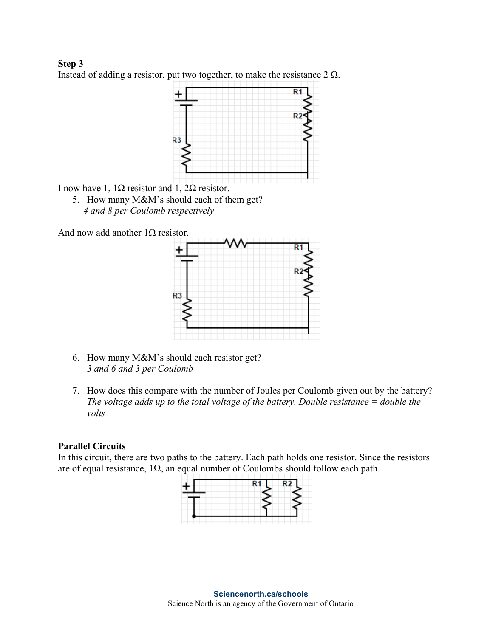**Step 3** Instead of adding a resistor, put two together, to make the resistance  $2 \Omega$ .



I now have 1,  $1Ω$  resistor and 1,  $2Ω$  resistor.

- 5. How many M&M's should each of them get?
	- *4 and 8 per Coulomb respectively*

And now add another  $1\Omega$  resistor.



- 6. How many M&M's should each resistor get? *3 and 6 and 3 per Coulomb*
- 7. How does this compare with the number of Joules per Coulomb given out by the battery? *The voltage adds up to the total voltage of the battery. Double resistance = double the volts*

# **Parallel Circuits**

In this circuit, there are two paths to the battery. Each path holds one resistor. Since the resistors are of equal resistance,  $1\Omega$ , an equal number of Coulombs should follow each path.